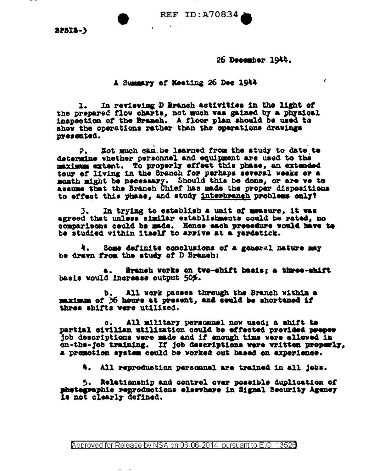REF ID: A70834

**SPSIS-3** 

26 December 1944.

Æ.

A Summary of Meeting 26 Dec 1944

 $\mathcal{L} = \mathcal{L}$ 

In reviewing D Branch activities in the light of  $1.$ the prepared flow charts, not much was gained by a physical inspection of the Branch. A floor plan should be used to show the operations rather than the operations drawings presented.

Not much can be learned from the study to date to  $2.1$ determine whether personnel and equipment are used to the maximum extent. To properly effect this phase, an extended tour of living in the Branch for parhaps several weeks or a month might be necessary. Should this be done, or are we to assume that the Branch Chief has made the proper dispositions to effect this phase, and study interbranch problems only?

In trying to establish a unit of measure, it was 3. agreed that unless similar establishments could be rated, no comparisons ceuld be made. Hence each procedure vould have to be studied within itself to arrive at a yardatick.

4. Some definite conclusions of a general nature may be drawn from the study of D Branch:

Branch vorks on two-shift basis; a three-shift **a.** basis would increase output 50%.

All work passes through the Branch within a b. maximum of 36 hours at present, and could be shortened if three shifts were utilized.

All military personnel now used; a shift to  $\mathbf{c}$ . partial civilian utilization could be effected previded proper job descriptions were made and if enough time were allowed in on-the-job training. If job descriptions were written properly, a promotion system could be worked out based on experience.

4. All reproduction personnel are trained in all jobs.

5. Relationship and control over possible duplication of phetegraphic reproductions elsewhere in Signal Security Agency is not clearly defined.

Approved for Release by NSA on 06-06-2014 pursuant to E.O. 13520